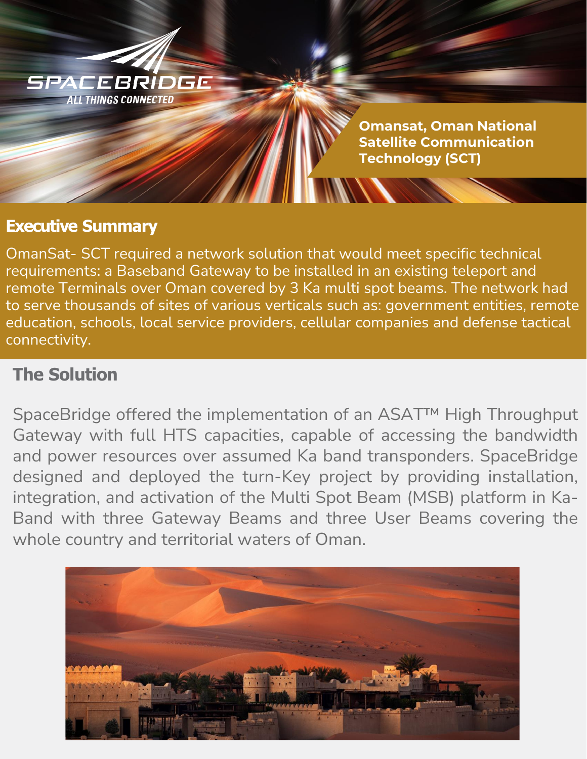

**Omansat, Oman National Satellite Communication Technology (SCT)**

#### **Executive Summary**

OmanSat- SCT required a network solution that would meet specific technical requirements: a Baseband Gateway to be installed in an existing teleport and remote Terminals over Oman covered by 3 Ka multi spot beams. The network had to serve thousands of sites of various verticals such as: government entities, remote education, schools, local service providers, cellular companies and defense tactical connectivity.

## **The Solution**

SpaceBridge offered the implementation of an ASAT™ High Throughput Gateway with full HTS capacities, capable of accessing the bandwidth and power resources over assumed Ka band transponders. SpaceBridge designed and deployed the turn-Key project by providing installation, integration, and activation of the Multi Spot Beam (MSB) platform in Ka-Band with three Gateway Beams and three User Beams covering the whole country and territorial waters of Oman.